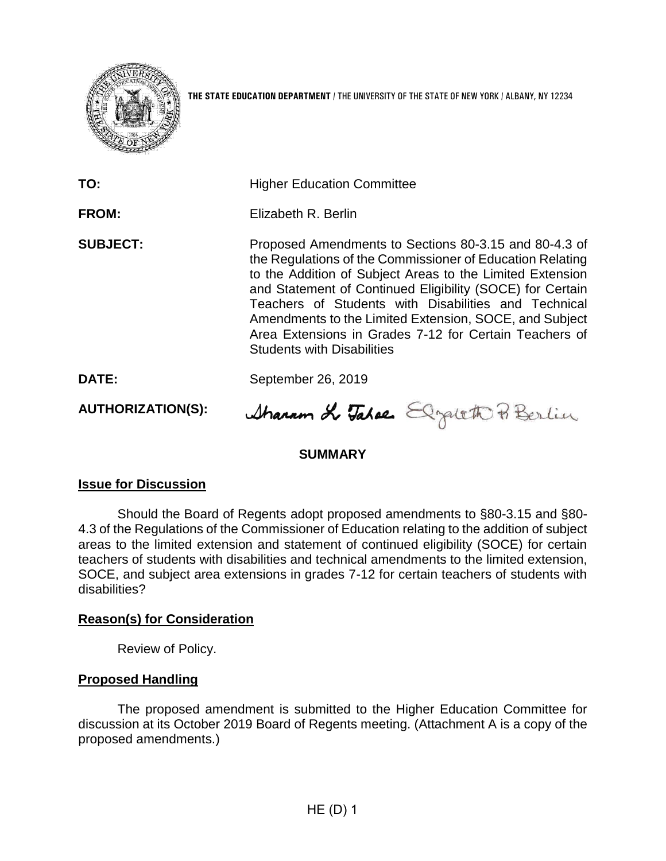

**THE STATE EDUCATION DEPARTMENT** / THE UNIVERSITY OF THE STATE OF NEW YORK / ALBANY, NY 12234

| TO:<br><b>FROM:</b>      | <b>Higher Education Committee</b><br>Elizabeth R. Berlin                                                                                                                                                                                                                                                                                                                                                                                                      |
|--------------------------|---------------------------------------------------------------------------------------------------------------------------------------------------------------------------------------------------------------------------------------------------------------------------------------------------------------------------------------------------------------------------------------------------------------------------------------------------------------|
| <b>SUBJECT:</b>          | Proposed Amendments to Sections 80-3.15 and 80-4.3 of<br>the Regulations of the Commissioner of Education Relating<br>to the Addition of Subject Areas to the Limited Extension<br>and Statement of Continued Eligibility (SOCE) for Certain<br>Teachers of Students with Disabilities and Technical<br>Amendments to the Limited Extension, SOCE, and Subject<br>Area Extensions in Grades 7-12 for Certain Teachers of<br><b>Students with Disabilities</b> |
| DATE:                    | September 26, 2019                                                                                                                                                                                                                                                                                                                                                                                                                                            |
| <b>AUTHORIZATION(S):</b> | Sharam & Takes Elgateth Pi Berlin                                                                                                                                                                                                                                                                                                                                                                                                                             |

# **SUMMARY**

# **Issue for Discussion**

Should the Board of Regents adopt proposed amendments to §80-3.15 and §80- 4.3 of the Regulations of the Commissioner of Education relating to the addition of subject areas to the limited extension and statement of continued eligibility (SOCE) for certain teachers of students with disabilities and technical amendments to the limited extension, SOCE, and subject area extensions in grades 7-12 for certain teachers of students with disabilities?

# **Reason(s) for Consideration**

Review of Policy.

# **Proposed Handling**

The proposed amendment is submitted to the Higher Education Committee for discussion at its October 2019 Board of Regents meeting. (Attachment A is a copy of the proposed amendments.)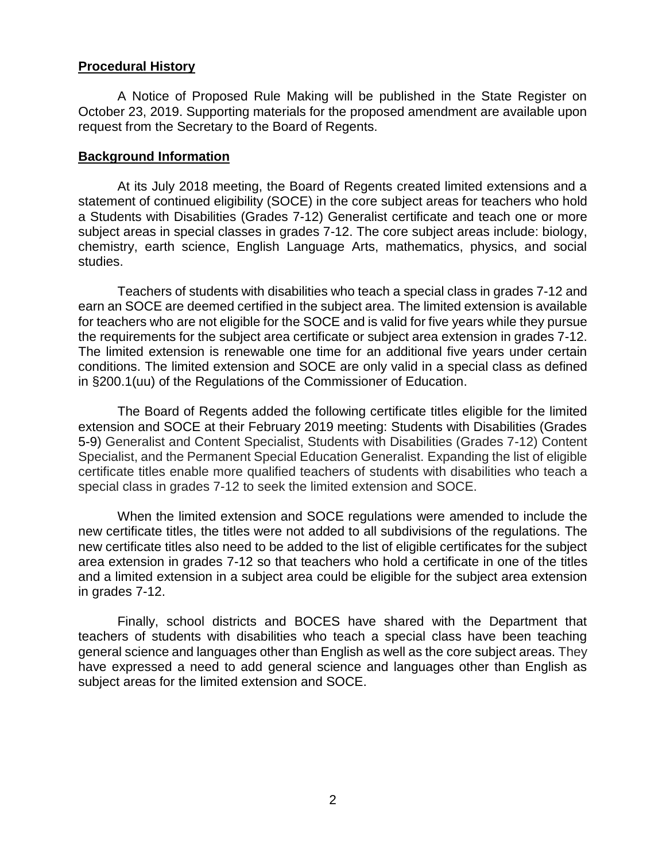## **Procedural History**

A Notice of Proposed Rule Making will be published in the State Register on October 23, 2019. Supporting materials for the proposed amendment are available upon request from the Secretary to the Board of Regents.

### **Background Information**

At its July 2018 meeting, the Board of Regents created limited extensions and a statement of continued eligibility (SOCE) in the core subject areas for teachers who hold a Students with Disabilities (Grades 7-12) Generalist certificate and teach one or more subject areas in special classes in grades 7-12. The core subject areas include: biology, chemistry, earth science, English Language Arts, mathematics, physics, and social studies.

Teachers of students with disabilities who teach a special class in grades 7-12 and earn an SOCE are deemed certified in the subject area. The limited extension is available for teachers who are not eligible for the SOCE and is valid for five years while they pursue the requirements for the subject area certificate or subject area extension in grades 7-12. The limited extension is renewable one time for an additional five years under certain conditions. The limited extension and SOCE are only valid in a special class as defined in §200.1(uu) of the Regulations of the Commissioner of Education.

The Board of Regents added the following certificate titles eligible for the limited extension and SOCE at their February 2019 meeting: Students with Disabilities (Grades 5-9) Generalist and Content Specialist, Students with Disabilities (Grades 7-12) Content Specialist, and the Permanent Special Education Generalist. Expanding the list of eligible certificate titles enable more qualified teachers of students with disabilities who teach a special class in grades 7-12 to seek the limited extension and SOCE.

When the limited extension and SOCE regulations were amended to include the new certificate titles, the titles were not added to all subdivisions of the regulations. The new certificate titles also need to be added to the list of eligible certificates for the subject area extension in grades 7-12 so that teachers who hold a certificate in one of the titles and a limited extension in a subject area could be eligible for the subject area extension in grades 7-12.

Finally, school districts and BOCES have shared with the Department that teachers of students with disabilities who teach a special class have been teaching general science and languages other than English as well as the core subject areas. They have expressed a need to add general science and languages other than English as subject areas for the limited extension and SOCE.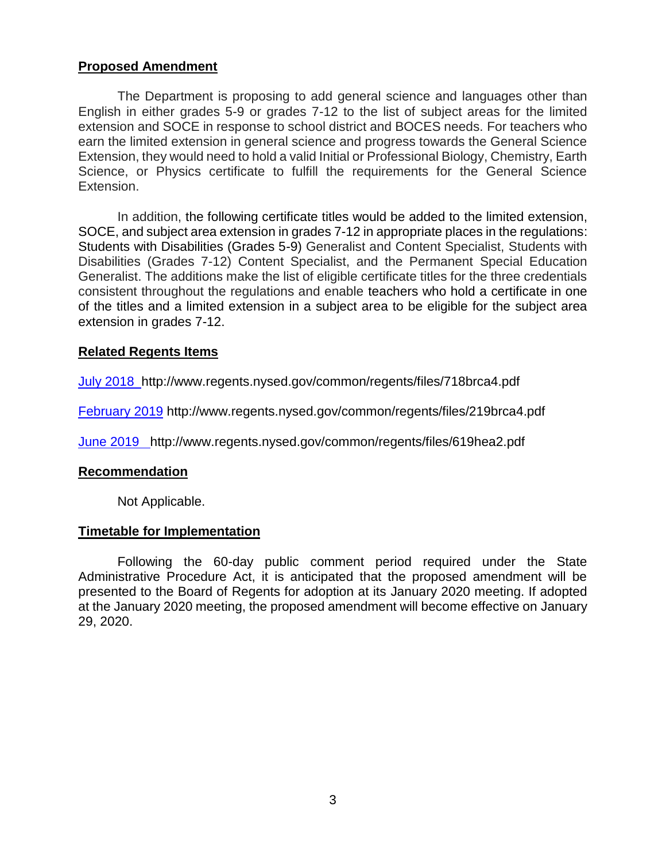# **Proposed Amendment**

The Department is proposing to add general science and languages other than English in either grades 5-9 or grades 7-12 to the list of subject areas for the limited extension and SOCE in response to school district and BOCES needs. For teachers who earn the limited extension in general science and progress towards the General Science Extension, they would need to hold a valid Initial or Professional Biology, Chemistry, Earth Science, or Physics certificate to fulfill the requirements for the General Science Extension.

In addition, the following certificate titles would be added to the limited extension, SOCE, and subject area extension in grades 7-12 in appropriate places in the regulations: Students with Disabilities (Grades 5-9) Generalist and Content Specialist, Students with Disabilities (Grades 7-12) Content Specialist, and the Permanent Special Education Generalist. The additions make the list of eligible certificate titles for the three credentials consistent throughout the regulations and enable teachers who hold a certificate in one of the titles and a limited extension in a subject area to be eligible for the subject area extension in grades 7-12.

# **Related Regents Items**

[July 2018](http://www.regents.nysed.gov/common/regents/files/718brca4.pdf) http://www.regents.nysed.gov/common/regents/files/718brca4.pdf

[February 2019](http://www.regents.nysed.gov/common/regents/files/219brca4.pdf) http://www.regents.nysed.gov/common/regents/files/219brca4.pdf

[June 2019](http://www.regents.nysed.gov/common/regents/files/619hea2.pdf) http://www.regents.nysed.gov/common/regents/files/619hea2.pdf

### **Recommendation**

Not Applicable.

### **Timetable for Implementation**

Following the 60-day public comment period required under the State Administrative Procedure Act, it is anticipated that the proposed amendment will be presented to the Board of Regents for adoption at its January 2020 meeting. If adopted at the January 2020 meeting, the proposed amendment will become effective on January 29, 2020.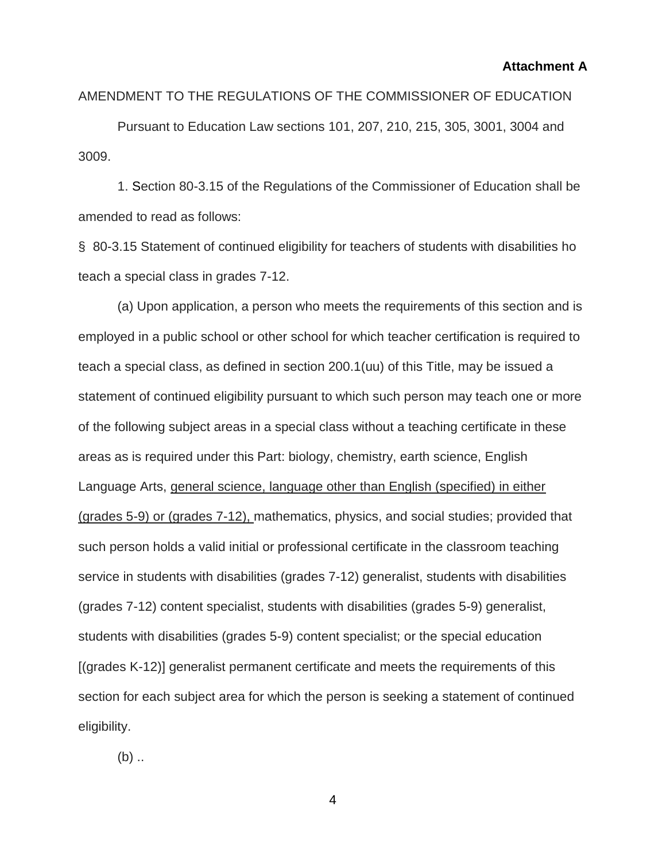### **Attachment A**

## AMENDMENT TO THE REGULATIONS OF THE COMMISSIONER OF EDUCATION

Pursuant to Education Law sections 101, 207, 210, 215, 305, 3001, 3004 and 3009.

1. Section 80-3.15 of the Regulations of the Commissioner of Education shall be amended to read as follows:

§ 80-3.15 Statement of continued eligibility for teachers of students with disabilities ho teach a special class in grades 7-12.

(a) Upon application, a person who meets the requirements of this section and is employed in a public school or other school for which teacher certification is required to teach a special class, as defined in section 200.1(uu) of this Title, may be issued a statement of continued eligibility pursuant to which such person may teach one or more of the following subject areas in a special class without a teaching certificate in these areas as is required under this Part: biology, chemistry, earth science, English Language Arts, general science, language other than English (specified) in either (grades 5-9) or (grades 7-12), mathematics, physics, and social studies; provided that such person holds a valid initial or professional certificate in the classroom teaching service in students with disabilities (grades 7-12) generalist, students with disabilities (grades 7-12) content specialist, students with disabilities (grades 5-9) generalist, students with disabilities (grades 5-9) content specialist; or the special education [(grades K-12)] generalist permanent certificate and meets the requirements of this section for each subject area for which the person is seeking a statement of continued eligibility.

 $(b)$  ..

4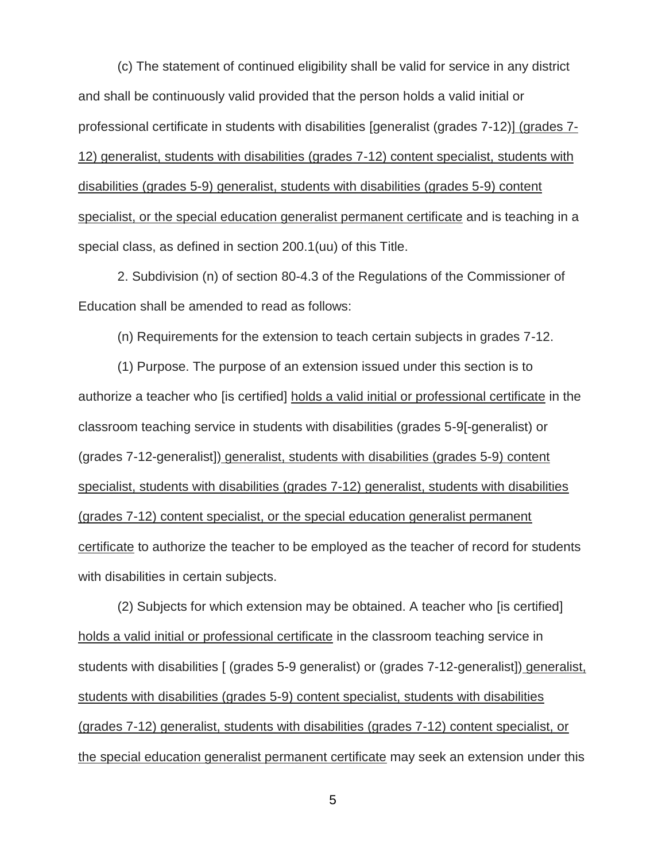(c) The statement of continued eligibility shall be valid for service in any district and shall be continuously valid provided that the person holds a valid initial or professional certificate in students with disabilities [generalist (grades 7-12)] (grades 7- 12) generalist, students with disabilities (grades 7-12) content specialist, students with disabilities (grades 5-9) generalist, students with disabilities (grades 5-9) content specialist, or the special education generalist permanent certificate and is teaching in a special class, as defined in section 200.1(uu) of this Title.

2. Subdivision (n) of section 80-4.3 of the Regulations of the Commissioner of Education shall be amended to read as follows:

(n) Requirements for the extension to teach certain subjects in grades 7-12.

(1) Purpose. The purpose of an extension issued under this section is to authorize a teacher who [is certified] holds a valid initial or professional certificate in the classroom teaching service in students with disabilities (grades 5-9[-generalist) or (grades 7-12-generalist]) generalist, students with disabilities (grades 5-9) content specialist, students with disabilities (grades 7-12) generalist, students with disabilities (grades 7-12) content specialist, or the special education generalist permanent certificate to authorize the teacher to be employed as the teacher of record for students with disabilities in certain subjects.

(2) Subjects for which extension may be obtained. A teacher who [is certified] holds a valid initial or professional certificate in the classroom teaching service in students with disabilities [ (grades 5-9 generalist) or (grades 7-12-generalist]) generalist, students with disabilities (grades 5-9) content specialist, students with disabilities (grades 7-12) generalist, students with disabilities (grades 7-12) content specialist, or the special education generalist permanent certificate may seek an extension under this

5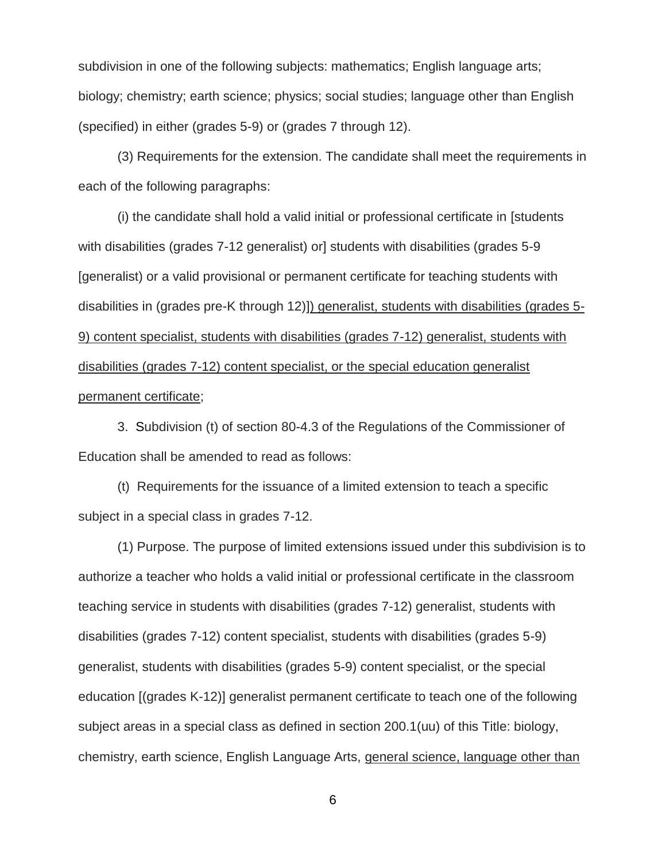subdivision in one of the following subjects: mathematics; English language arts; biology; chemistry; earth science; physics; social studies; language other than English (specified) in either (grades 5-9) or (grades 7 through 12).

(3) Requirements for the extension. The candidate shall meet the requirements in each of the following paragraphs:

(i) the candidate shall hold a valid initial or professional certificate in [students with disabilities (grades 7-12 generalist) or students with disabilities (grades 5-9 [generalist) or a valid provisional or permanent certificate for teaching students with disabilities in (grades pre-K through 12)]) generalist, students with disabilities (grades 5- 9) content specialist, students with disabilities (grades 7-12) generalist, students with disabilities (grades 7-12) content specialist, or the special education generalist permanent certificate;

3. Subdivision (t) of section 80-4.3 of the Regulations of the Commissioner of Education shall be amended to read as follows:

(t) Requirements for the issuance of a limited extension to teach a specific subject in a special class in grades 7-12.

(1) Purpose. The purpose of limited extensions issued under this subdivision is to authorize a teacher who holds a valid initial or professional certificate in the classroom teaching service in students with disabilities (grades 7-12) generalist, students with disabilities (grades 7-12) content specialist, students with disabilities (grades 5-9) generalist, students with disabilities (grades 5-9) content specialist, or the special education [(grades K-12)] generalist permanent certificate to teach one of the following subject areas in a special class as defined in section 200.1(uu) of this Title: biology, chemistry, earth science, English Language Arts, general science, language other than

6